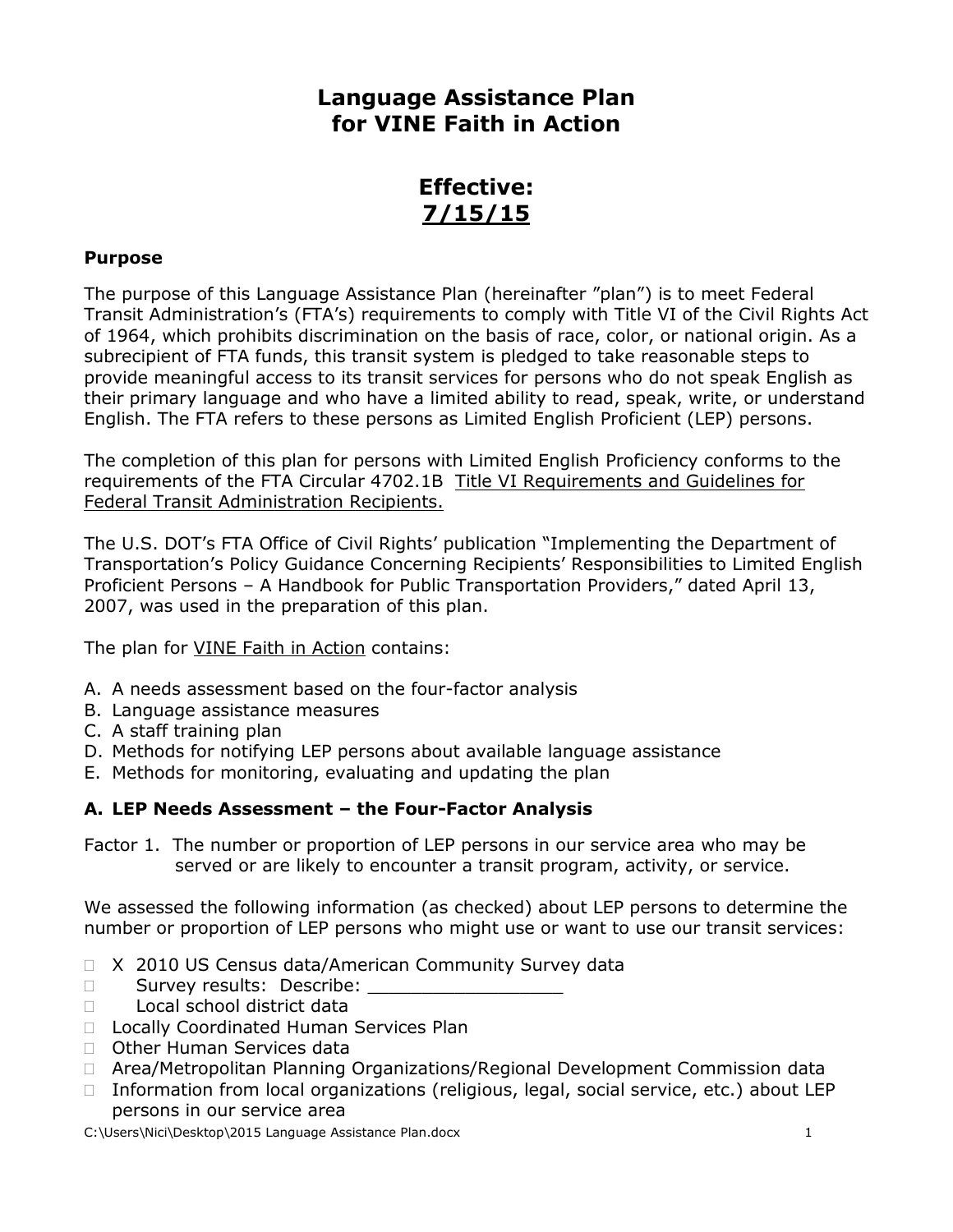# **Language Assistance Plan for VINE Faith in Action**

# **Effective: 7/15/15**

#### **Purpose**

The purpose of this Language Assistance Plan (hereinafter "plan") is to meet Federal Transit Administration's (FTA's) requirements to comply with Title VI of the Civil Rights Act of 1964, which prohibits discrimination on the basis of race, color, or national origin. As a subrecipient of FTA funds, this transit system is pledged to take reasonable steps to provide meaningful access to its transit services for persons who do not speak English as their primary language and who have a limited ability to read, speak, write, or understand English. The FTA refers to these persons as Limited English Proficient (LEP) persons.

The completion of this plan for persons with Limited English Proficiency conforms to the requirements of the FTA Circular 4702.1B Title VI Requirements and Guidelines for Federal Transit Administration Recipients.

The U.S. DOT's FTA Office of Civil Rights' publication "Implementing the Department of Transportation's Policy Guidance Concerning Recipients' Responsibilities to Limited English Proficient Persons – A Handbook for Public Transportation Providers," dated April 13, 2007, was used in the preparation of this plan.

The plan for VINE Faith in Action contains:

- A. A needs assessment based on the four-factor analysis
- B. Language assistance measures
- C. A staff training plan
- D. Methods for notifying LEP persons about available language assistance
- E. Methods for monitoring, evaluating and updating the plan

# **A. LEP Needs Assessment – the Four-Factor Analysis**

Factor 1. The number or proportion of LEP persons in our service area who may be served or are likely to encounter a transit program, activity, or service.

We assessed the following information (as checked) about LEP persons to determine the number or proportion of LEP persons who might use or want to use our transit services:

- □ X 2010 US Census data/American Community Survey data
- □ Survey results: Describe:
- □ Local school district data
- D Locally Coordinated Human Services Plan
- □ Other Human Services data
- Area/Metropolitan Planning Organizations/Regional Development Commission data
- $\Box$  Information from local organizations (religious, legal, social service, etc.) about LEP persons in our service area

C:\Users\Nici\Desktop\2015 Language Assistance Plan.docx 1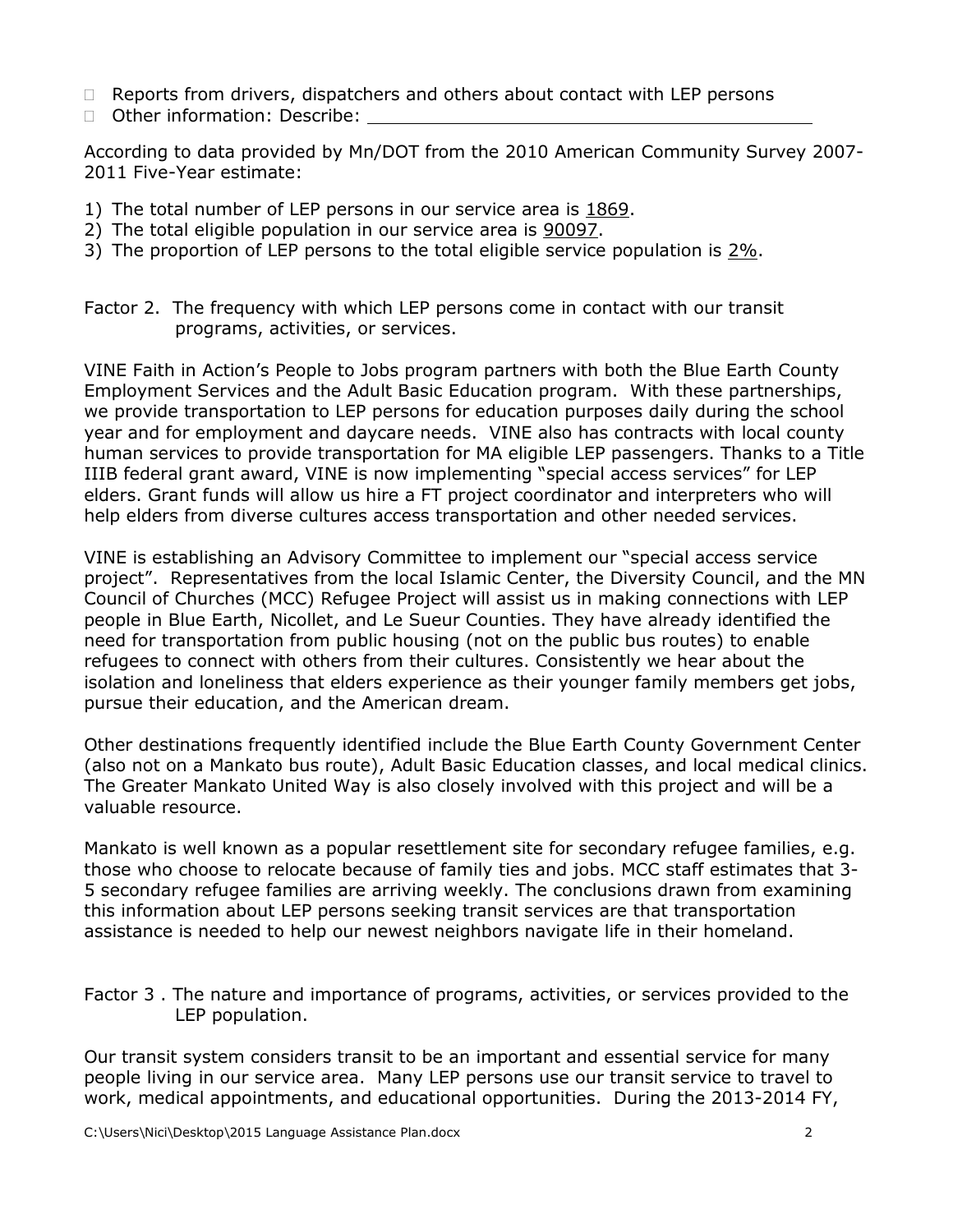- □ Reports from drivers, dispatchers and others about contact with LEP persons
- □ Other information: Describe:

According to data provided by Mn/DOT from the 2010 American Community Survey 2007- 2011 Five-Year estimate:

- 1) The total number of LEP persons in our service area is 1869.
- 2) The total eligible population in our service area is 90097.
- 3) The proportion of LEP persons to the total eligible service population is  $2\%$ .
- Factor 2. The frequency with which LEP persons come in contact with our transit programs, activities, or services.

VINE Faith in Action's People to Jobs program partners with both the Blue Earth County Employment Services and the Adult Basic Education program. With these partnerships, we provide transportation to LEP persons for education purposes daily during the school year and for employment and daycare needs. VINE also has contracts with local county human services to provide transportation for MA eligible LEP passengers. Thanks to a Title IIIB federal grant award, VINE is now implementing "special access services" for LEP elders. Grant funds will allow us hire a FT project coordinator and interpreters who will help elders from diverse cultures access transportation and other needed services.

VINE is establishing an Advisory Committee to implement our "special access service project". Representatives from the local Islamic Center, the Diversity Council, and the MN Council of Churches (MCC) Refugee Project will assist us in making connections with LEP people in Blue Earth, Nicollet, and Le Sueur Counties. They have already identified the need for transportation from public housing (not on the public bus routes) to enable refugees to connect with others from their cultures. Consistently we hear about the isolation and loneliness that elders experience as their younger family members get jobs, pursue their education, and the American dream.

Other destinations frequently identified include the Blue Earth County Government Center (also not on a Mankato bus route), Adult Basic Education classes, and local medical clinics. The Greater Mankato United Way is also closely involved with this project and will be a valuable resource.

Mankato is well known as a popular resettlement site for secondary refugee families, e.g. those who choose to relocate because of family ties and jobs. MCC staff estimates that 3- 5 secondary refugee families are arriving weekly. The conclusions drawn from examining this information about LEP persons seeking transit services are that transportation assistance is needed to help our newest neighbors navigate life in their homeland.

Factor 3 . The nature and importance of programs, activities, or services provided to the LEP population.

Our transit system considers transit to be an important and essential service for many people living in our service area. Many LEP persons use our transit service to travel to work, medical appointments, and educational opportunities. During the 2013-2014 FY,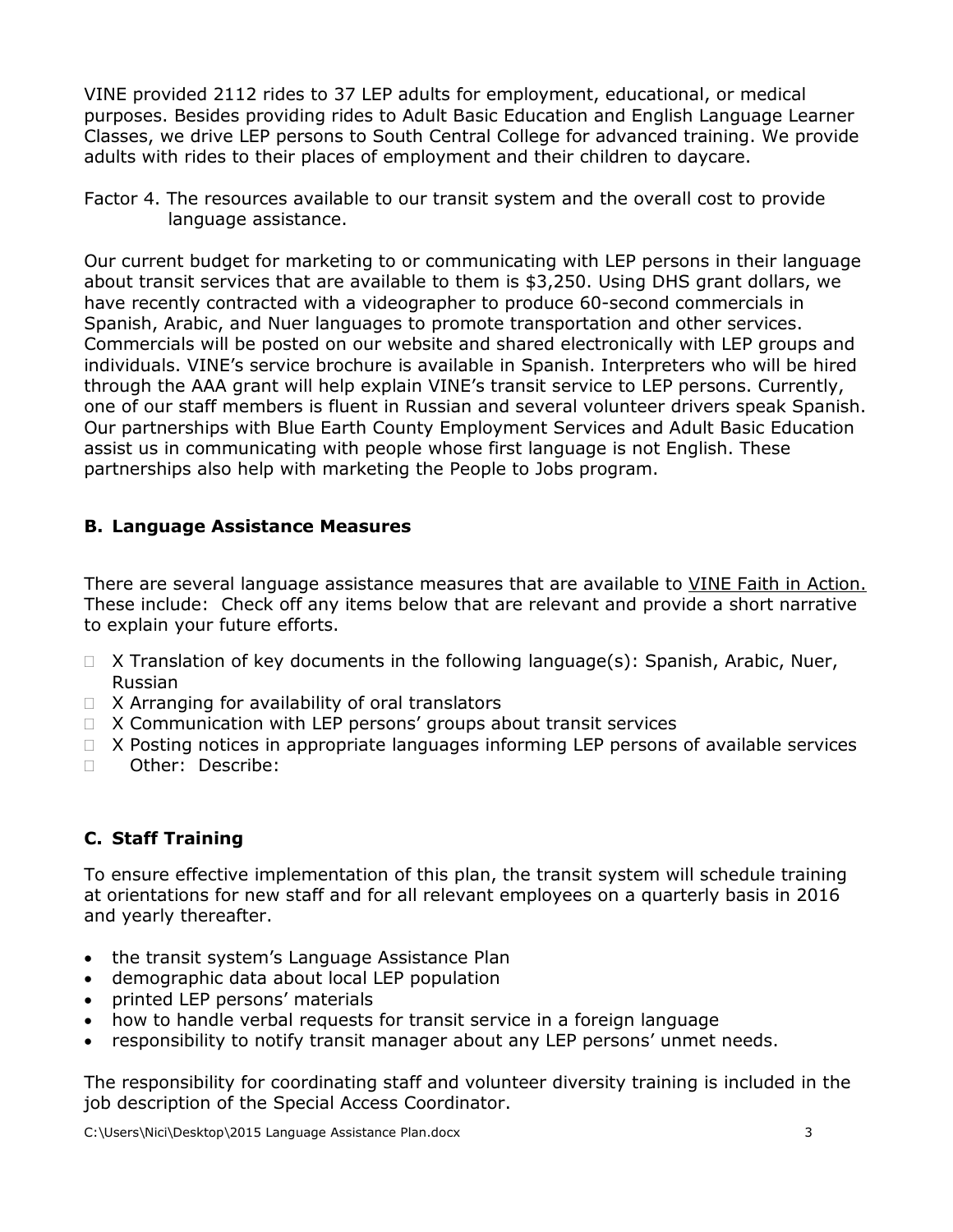VINE provided 2112 rides to 37 LEP adults for employment, educational, or medical purposes. Besides providing rides to Adult Basic Education and English Language Learner Classes, we drive LEP persons to South Central College for advanced training. We provide adults with rides to their places of employment and their children to daycare.

Factor 4. The resources available to our transit system and the overall cost to provide language assistance.

Our current budget for marketing to or communicating with LEP persons in their language about transit services that are available to them is \$3,250. Using DHS grant dollars, we have recently contracted with a videographer to produce 60-second commercials in Spanish, Arabic, and Nuer languages to promote transportation and other services. Commercials will be posted on our website and shared electronically with LEP groups and individuals. VINE's service brochure is available in Spanish. Interpreters who will be hired through the AAA grant will help explain VINE's transit service to LEP persons. Currently, one of our staff members is fluent in Russian and several volunteer drivers speak Spanish. Our partnerships with Blue Earth County Employment Services and Adult Basic Education assist us in communicating with people whose first language is not English. These partnerships also help with marketing the People to Jobs program.

### **B. Language Assistance Measures**

There are several language assistance measures that are available to VINE Faith in Action. These include: Check off any items below that are relevant and provide a short narrative to explain your future efforts.

- $\Box$  X Translation of key documents in the following language(s): Spanish, Arabic, Nuer, Russian
- $\Box$  X Arranging for availability of oral translators
- $\Box$  X Communication with LEP persons' groups about transit services
- $\Box$  X Posting notices in appropriate languages informing LEP persons of available services
- Describe:

# **C. Staff Training**

To ensure effective implementation of this plan, the transit system will schedule training at orientations for new staff and for all relevant employees on a quarterly basis in 2016 and yearly thereafter.

- the transit system's Language Assistance Plan
- demographic data about local LEP population
- printed LEP persons' materials
- how to handle verbal requests for transit service in a foreign language
- responsibility to notify transit manager about any LEP persons' unmet needs.

The responsibility for coordinating staff and volunteer diversity training is included in the job description of the Special Access Coordinator.